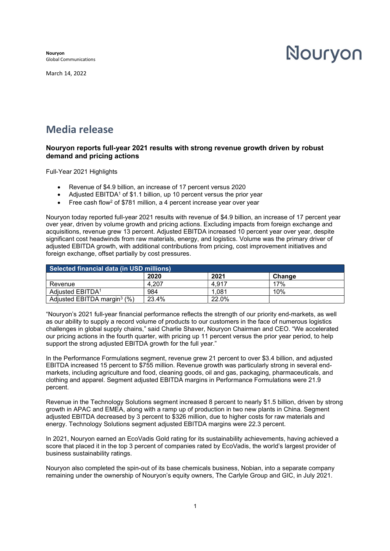Nouryon Global Communications

March 14, 2022

# Nouryon

# Media release

# Nouryon reports full-year 2021 results with strong revenue growth driven by robust demand and pricing actions

Full-Year 2021 Highlights

- Revenue of \$4.9 billion, an increase of 17 percent versus 2020
- Adjusted EBITDA<sup>1</sup> of \$1.1 billion, up 10 percent versus the prior year
- $\bullet$  Free cash flow<sup>2</sup> of \$781 million, a 4 percent increase year over year

Nouryon today reported full-year 2021 results with revenue of \$4.9 billion, an increase of 17 percent year over year, driven by volume growth and pricing actions. Excluding impacts from foreign exchange and acquisitions, revenue grew 13 percent. Adjusted EBITDA increased 10 percent year over year, despite significant cost headwinds from raw materials, energy, and logistics. Volume was the primary driver of adjusted EBITDA growth, with additional contributions from pricing, cost improvement initiatives and foreign exchange, offset partially by cost pressures.

| Selected financial data (in USD millions) |       |       |        |  |
|-------------------------------------------|-------|-------|--------|--|
|                                           | 2020  | 2021  | Chanɑe |  |
| Revenue                                   | 4.207 | 4,917 | 17%    |  |
| Adjusted EBITDA <sup>1</sup>              | 984   | .081  | 10%    |  |
| Adjusted EBITDA margin <sup>3</sup> $(%)$ | 23.4% | 22.0% |        |  |

"Nouryon's 2021 full-year financial performance reflects the strength of our priority end-markets, as well as our ability to supply a record volume of products to our customers in the face of numerous logistics challenges in global supply chains," said Charlie Shaver, Nouryon Chairman and CEO. "We accelerated our pricing actions in the fourth quarter, with pricing up 11 percent versus the prior year period, to help support the strong adjusted EBITDA growth for the full year."

In the Performance Formulations segment, revenue grew 21 percent to over \$3.4 billion, and adjusted EBITDA increased 15 percent to \$755 million. Revenue growth was particularly strong in several endmarkets, including agriculture and food, cleaning goods, oil and gas, packaging, pharmaceuticals, and clothing and apparel. Segment adjusted EBITDA margins in Performance Formulations were 21.9 percent.

Revenue in the Technology Solutions segment increased 8 percent to nearly \$1.5 billion, driven by strong growth in APAC and EMEA, along with a ramp up of production in two new plants in China. Segment adjusted EBITDA decreased by 3 percent to \$326 million, due to higher costs for raw materials and energy. Technology Solutions segment adjusted EBITDA margins were 22.3 percent.

In 2021, Nouryon earned an EcoVadis Gold rating for its sustainability achievements, having achieved a score that placed it in the top 3 percent of companies rated by EcoVadis, the world's largest provider of business sustainability ratings.

Nouryon also completed the spin-out of its base chemicals business, Nobian, into a separate company remaining under the ownership of Nouryon's equity owners, The Carlyle Group and GIC, in July 2021.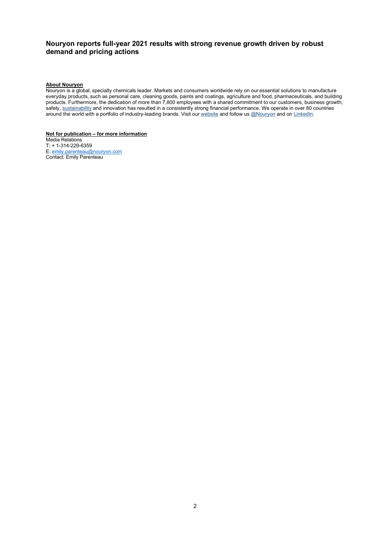## Nouryon reports full-year 2021 results with strong revenue growth driven by robust demand and pricing actions

#### About Nouryon

Nouryon is a global, specialty chemicals leader. Markets and consumers worldwide rely on our essential solutions to manufacture everyday products, such as personal care, cleaning goods, paints and coatings, agriculture and food, pharmaceuticals, and building products. Furthermore, the dedication of more than 7,800 employees with a shared commitment to our customers, business growth, safety, sustainability and innovation has resulted in a consistently strong financial performance. We operate in over 80 countries around the world with a portfolio of industry-leading brands. Visit our website and follow us @Nouryon and on LinkedIn.

#### Not for publication – for more information

Media Relations T: + 1-314-229-6359 E: emily.parenteau@nouryon.com Contact: Emily Parenteau